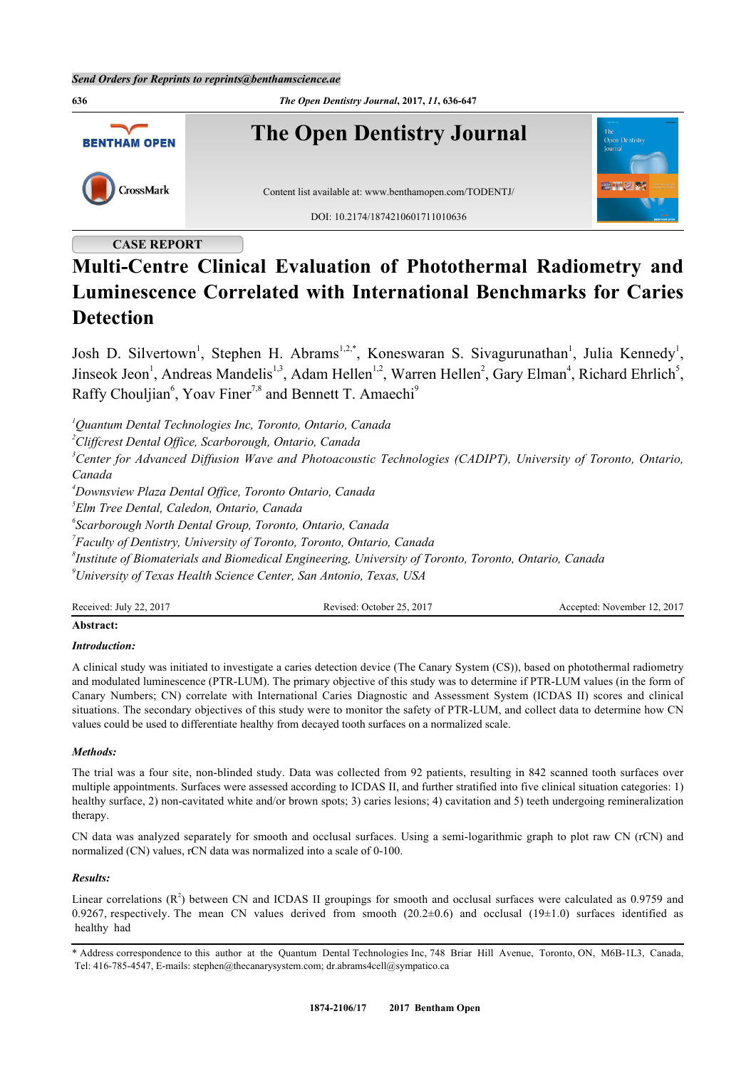

# **CASE REPORT**

# **Multi-Centre Clinical Evaluation of Photothermal Radiometry and Luminescence Correlated with International Benchmarks for Caries Detection**

Josh D. Silvertown<sup>[1](#page-0-0)</sup>, Stephen H. Abrams<sup>[1,](#page-0-0)[2,](#page-0-1)[\\*](#page-0-2)</sup>, Koneswaran S. Sivagurunathan<sup>1</sup>, Julia Kennedy<sup>1</sup>, Jinseok Jeon<sup>[1](#page-0-0)</sup>, Andreas Mandelis<sup>1,[3](#page-0-3)</sup>, Adam Hellen<sup>1[,2](#page-0-1)</sup>, Warren Hellen<sup>[2](#page-0-1)</sup>, Gary Elman<sup>[4](#page-0-4)</sup>, Richard Ehrlich<sup>[5](#page-0-5)</sup>, Raffy Chouljian<sup>[6](#page-0-6)</sup>, Yoav Finer<sup>[7](#page-0-7),[8](#page-0-8)</sup> and Bennett T. Amaechi<sup>[9](#page-0-9)</sup>

<span id="page-0-0"></span>*<sup>1</sup>Quantum Dental Technologies Inc, Toronto, Ontario, Canada*

<span id="page-0-1"></span>*<sup>2</sup>Cliffcrest Dental Office, Scarborough, Ontario, Canada*

<span id="page-0-3"></span>*<sup>3</sup>Center for Advanced Diffusion Wave and Photoacoustic Technologies (CADIPT), University of Toronto, Ontario, Canada*

<span id="page-0-4"></span>*<sup>4</sup>Downsview Plaza Dental Office, Toronto Ontario, Canada*

<span id="page-0-5"></span>*5 Elm Tree Dental, Caledon, Ontario, Canada*

<span id="page-0-6"></span>*6 Scarborough North Dental Group, Toronto, Ontario, Canada*

<span id="page-0-7"></span>*7 Faculty of Dentistry, University of Toronto, Toronto, Ontario, Canada*

<span id="page-0-8"></span>*8 Institute of Biomaterials and Biomedical Engineering, University of Toronto, Toronto, Ontario, Canada*

<span id="page-0-9"></span>*<sup>9</sup>University of Texas Health Science Center, San Antonio, Texas, USA*

| Received: July 22, 2017 | Revised: October 25, 2017 | Accepted: November 12, 2017 |
|-------------------------|---------------------------|-----------------------------|
|                         |                           |                             |

# **Abstract:**

# *Introduction:*

A clinical study was initiated to investigate a caries detection device (The Canary System (CS)), based on photothermal radiometry and modulated luminescence (PTR-LUM). The primary objective of this study was to determine if PTR-LUM values (in the form of Canary Numbers; CN) correlate with International Caries Diagnostic and Assessment System (ICDAS II) scores and clinical situations. The secondary objectives of this study were to monitor the safety of PTR-LUM, and collect data to determine how CN values could be used to differentiate healthy from decayed tooth surfaces on a normalized scale.

# *Methods:*

The trial was a four site, non-blinded study. Data was collected from 92 patients, resulting in 842 scanned tooth surfaces over multiple appointments. Surfaces were assessed according to ICDAS II, and further stratified into five clinical situation categories: 1) healthy surface, 2) non-cavitated white and/or brown spots; 3) caries lesions; 4) cavitation and 5) teeth undergoing remineralization therapy.

CN data was analyzed separately for smooth and occlusal surfaces. Using a semi-logarithmic graph to plot raw CN (rCN) and normalized (CN) values, rCN data was normalized into a scale of 0-100.

# *Results:*

Linear correlations  $(R^2)$  between CN and ICDAS II groupings for smooth and occlusal surfaces were calculated as 0.9759 and 0.9267, respectively. The mean CN values derived from smooth (20.2 $\pm$ 0.6) and occlusal (19 $\pm$ 1.0) surfaces identified as healthy had

<span id="page-0-2"></span><sup>\*</sup> Address correspondence to this author at the Quantum Dental Technologies Inc, 748 Briar Hill Avenue, Toronto, ON, M6B-1L3, Canada, Tel: 416-785-4547, E-mails: [stephen@thecanarysystem.com;](mailto:stephen@thecanarysystem.com) [dr.abrams4cell@sympatico.ca](mailto:dr.abrams4cell@sympatico.ca)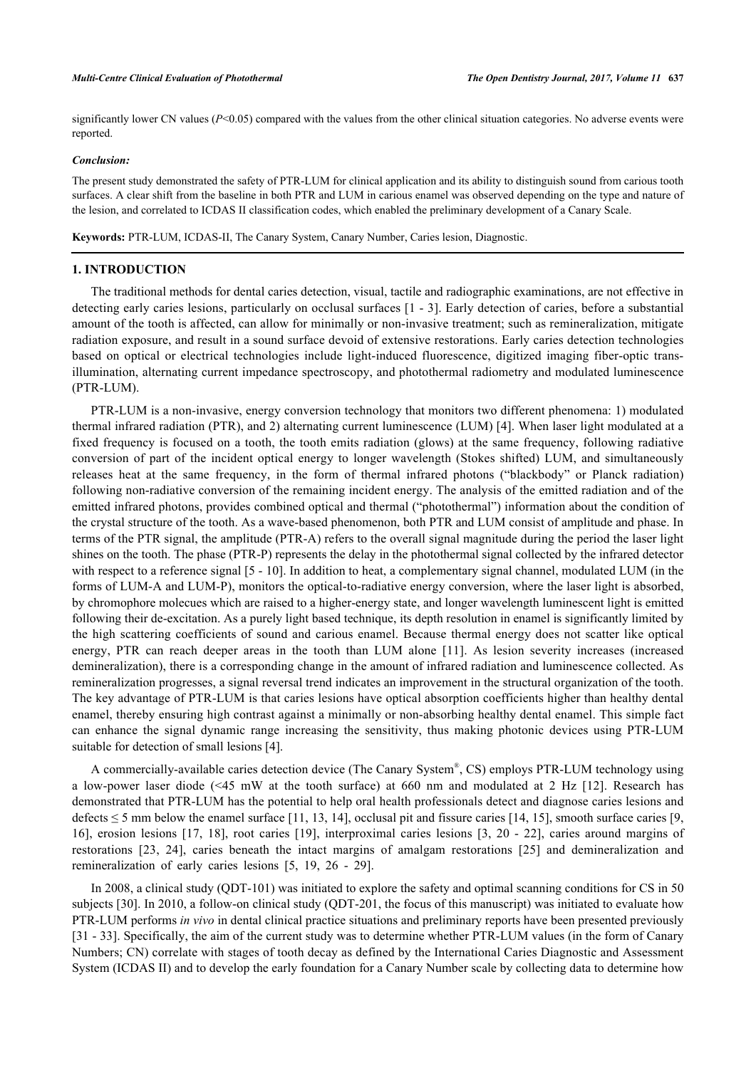significantly lower CN values  $(P<0.05)$  compared with the values from the other clinical situation categories. No adverse events were reported.

#### *Conclusion:*

The present study demonstrated the safety of PTR-LUM for clinical application and its ability to distinguish sound from carious tooth surfaces. A clear shift from the baseline in both PTR and LUM in carious enamel was observed depending on the type and nature of the lesion, and correlated to ICDAS II classification codes, which enabled the preliminary development of a Canary Scale.

**Keywords:** PTR-LUM, ICDAS-II, The Canary System, Canary Number, Caries lesion, Diagnostic.

# **1. INTRODUCTION**

The traditional methods for dental caries detection, visual, tactile and radiographic examinations, are not effective in detecting early caries lesions, particularly on occlusal surfaces [\[1](#page-9-0) - [3\]](#page-9-1). Early detection of caries, before a substantial amount of the tooth is affected, can allow for minimally or non-invasive treatment; such as remineralization, mitigate radiation exposure, and result in a sound surface devoid of extensive restorations. Early caries detection technologies based on optical or electrical technologies include light-induced fluorescence, digitized imaging fiber-optic transillumination, alternating current impedance spectroscopy, and photothermal radiometry and modulated luminescence (PTR-LUM).

PTR-LUM is a non-invasive, energy conversion technology that monitors two different phenomena: 1) modulated thermal infrared radiation (PTR), and 2) alternating current luminescence (LUM) [\[4\]](#page-9-2). When laser light modulated at a fixed frequency is focused on a tooth, the tooth emits radiation (glows) at the same frequency, following radiative conversion of part of the incident optical energy to longer wavelength (Stokes shifted) LUM, and simultaneously releases heat at the same frequency, in the form of thermal infrared photons ("blackbody" or Planck radiation) following non-radiative conversion of the remaining incident energy. The analysis of the emitted radiation and of the emitted infrared photons, provides combined optical and thermal ("photothermal") information about the condition of the crystal structure of the tooth. As a wave-based phenomenon, both PTR and LUM consist of amplitude and phase. In terms of the PTR signal, the amplitude (PTR-A) refers to the overall signal magnitude during the period the laser light shines on the tooth. The phase (PTR-P) represents the delay in the photothermal signal collected by the infrared detector with respect to a reference signal [[5](#page-9-3) - [10\]](#page-9-4). In addition to heat, a complementary signal channel, modulated LUM (in the forms of LUM-A and LUM-P), monitors the optical-to-radiative energy conversion, where the laser light is absorbed, by chromophore molecues which are raised to a higher-energy state, and longer wavelength luminescent light is emitted following their de-excitation. As a purely light based technique, its depth resolution in enamel is significantly limited by the high scattering coefficients of sound and carious enamel. Because thermal energy does not scatter like optical energy, PTR can reach deeper areas in the tooth than LUM alone[[11](#page-9-5)]. As lesion severity increases (increased demineralization), there is a corresponding change in the amount of infrared radiation and luminescence collected. As remineralization progresses, a signal reversal trend indicates an improvement in the structural organization of the tooth. The key advantage of PTR-LUM is that caries lesions have optical absorption coefficients higher than healthy dental enamel, thereby ensuring high contrast against a minimally or non-absorbing healthy dental enamel. This simple fact can enhance the signal dynamic range increasing the sensitivity, thus making photonic devices using PTR-LUM suitable for detection of small lesions [\[4](#page-9-2)].

A commercially-available caries detection device (The Canary System®, CS) employs PTR-LUM technology using a low-power laser diode (<45 mW at the tooth surface) at 660 nm and modulated at 2 Hz [\[12](#page-9-6)]. Research has demonstrated that PTR-LUM has the potential to help oral health professionals detect and diagnose caries lesions and defects  $\leq$  5 mm below the enamel surface [\[11](#page-9-5), [13,](#page-9-7) [14\]](#page-10-0), occlusal pit and fissure caries [\[14](#page-10-0), [15](#page-10-1)], smooth surface caries [\[9](#page-9-8), [16\]](#page-10-2), erosion lesions[[17](#page-10-3), [18\]](#page-10-4), root caries[[19\]](#page-10-5), interproximal caries lesions [\[3,](#page-9-1) [20](#page-10-6) - [22\]](#page-10-7), caries around margins of restorations[[23](#page-10-8), [24\]](#page-10-9), caries beneath the intact margins of amalgam restorations[[25](#page-10-10)] and demineralization and remineralization of early caries lesions [\[5](#page-9-3), [19](#page-10-5), [26](#page-10-11) - [29\]](#page-10-12).

In 2008, a clinical study (QDT-101) was initiated to explore the safety and optimal scanning conditions for CS in 50 subjects [\[30](#page-10-13)]. In 2010, a follow-on clinical study (QDT-201, the focus of this manuscript) was initiated to evaluate how PTR-LUM performs *in vivo* in dental clinical practice situations and preliminary reports have been presented previously [\[31](#page-10-14) - [33\]](#page-10-15). Specifically, the aim of the current study was to determine whether PTR-LUM values (in the form of Canary Numbers; CN) correlate with stages of tooth decay as defined by the International Caries Diagnostic and Assessment System (ICDAS II) and to develop the early foundation for a Canary Number scale by collecting data to determine how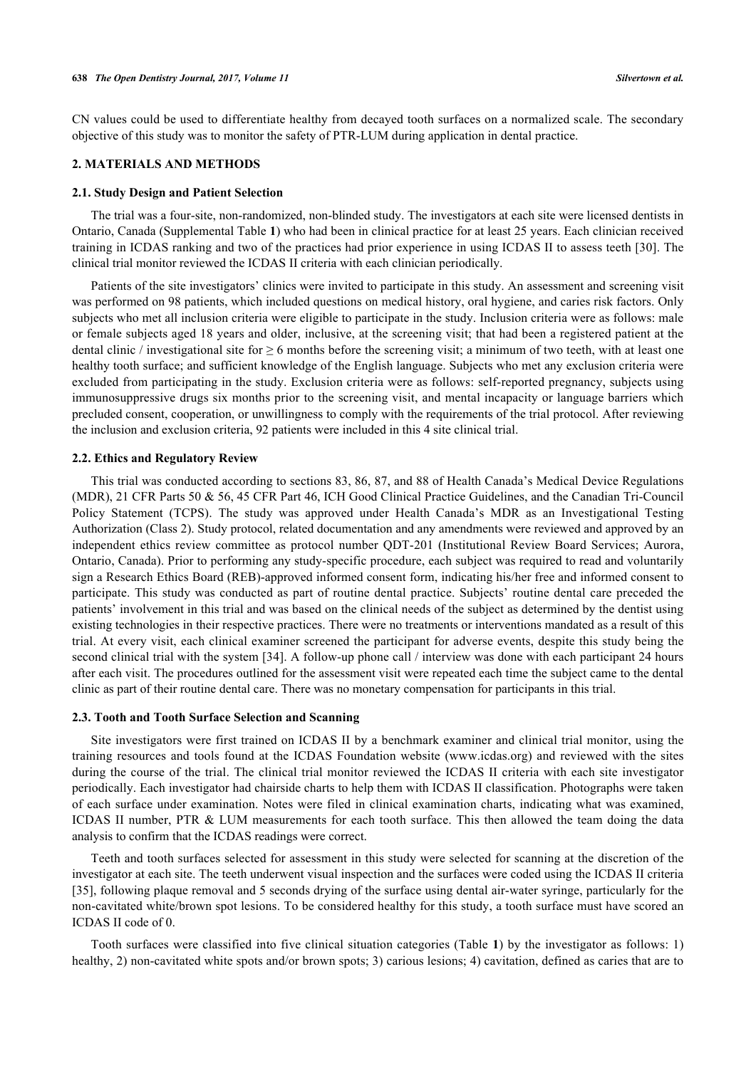CN values could be used to differentiate healthy from decayed tooth surfaces on a normalized scale. The secondary objective of this study was to monitor the safety of PTR-LUM during application in dental practice.

# **2. MATERIALS AND METHODS**

#### **2.1. Study Design and Patient Selection**

The trial was a four-site, non-randomized, non-blinded study. The investigators at each site were licensed dentists in Ontario, Canada (Supplemental Table **1**) who had been in clinical practice for at least 25 years. Each clinician received training in ICDAS ranking and two of the practices had prior experience in using ICDAS II to assess teeth [[30\]](#page-10-13). The clinical trial monitor reviewed the ICDAS II criteria with each clinician periodically.

Patients of the site investigators' clinics were invited to participate in this study. An assessment and screening visit was performed on 98 patients, which included questions on medical history, oral hygiene, and caries risk factors. Only subjects who met all inclusion criteria were eligible to participate in the study. Inclusion criteria were as follows: male or female subjects aged 18 years and older, inclusive, at the screening visit; that had been a registered patient at the dental clinic / investigational site for  $\geq 6$  months before the screening visit; a minimum of two teeth, with at least one healthy tooth surface; and sufficient knowledge of the English language. Subjects who met any exclusion criteria were excluded from participating in the study. Exclusion criteria were as follows: self-reported pregnancy, subjects using immunosuppressive drugs six months prior to the screening visit, and mental incapacity or language barriers which precluded consent, cooperation, or unwillingness to comply with the requirements of the trial protocol. After reviewing the inclusion and exclusion criteria, 92 patients were included in this 4 site clinical trial.

#### **2.2. Ethics and Regulatory Review**

This trial was conducted according to sections 83, 86, 87, and 88 of Health Canada's Medical Device Regulations (MDR), 21 CFR Parts 50 & 56, 45 CFR Part 46, ICH Good Clinical Practice Guidelines, and the Canadian Tri-Council Policy Statement (TCPS). The study was approved under Health Canada's MDR as an Investigational Testing Authorization (Class 2). Study protocol, related documentation and any amendments were reviewed and approved by an independent ethics review committee as protocol number QDT-201 (Institutional Review Board Services; Aurora, Ontario, Canada). Prior to performing any study-specific procedure, each subject was required to read and voluntarily sign a Research Ethics Board (REB)-approved informed consent form, indicating his/her free and informed consent to participate. This study was conducted as part of routine dental practice. Subjects' routine dental care preceded the patients' involvement in this trial and was based on the clinical needs of the subject as determined by the dentist using existing technologies in their respective practices. There were no treatments or interventions mandated as a result of this trial. At every visit, each clinical examiner screened the participant for adverse events, despite this study being the second clinical trial with the system [[34](#page-10-16)]. A follow-up phone call / interview was done with each participant 24 hours after each visit. The procedures outlined for the assessment visit were repeated each time the subject came to the dental clinic as part of their routine dental care. There was no monetary compensation for participants in this trial.

#### **2.3. Tooth and Tooth Surface Selection and Scanning**

Site investigators were first trained on ICDAS II by a benchmark examiner and clinical trial monitor, using the training resources and tools found at the ICDAS Foundation website ([www.icdas.org\)](http://www.icdas.org) and reviewed with the sites during the course of the trial. The clinical trial monitor reviewed the ICDAS II criteria with each site investigator periodically. Each investigator had chairside charts to help them with ICDAS II classification. Photographs were taken of each surface under examination. Notes were filed in clinical examination charts, indicating what was examined, ICDAS II number, PTR & LUM measurements for each tooth surface. This then allowed the team doing the data analysis to confirm that the ICDAS readings were correct.

Teeth and tooth surfaces selected for assessment in this study were selected for scanning at the discretion of the investigator at each site. The teeth underwent visual inspection and the surfaces were coded using the ICDAS II criteria [\[35](#page-10-17)], following plaque removal and 5 seconds drying of the surface using dental air-water syringe, particularly for the non-cavitated white/brown spot lesions. To be considered healthy for this study, a tooth surface must have scored an ICDAS II code of 0.

Tooth surfaces were classified into five clinical situation categories (Table **1**) by the investigator as follows: 1) healthy, 2) non-cavitated white spots and/or brown spots; 3) carious lesions; 4) cavitation, defined as caries that are to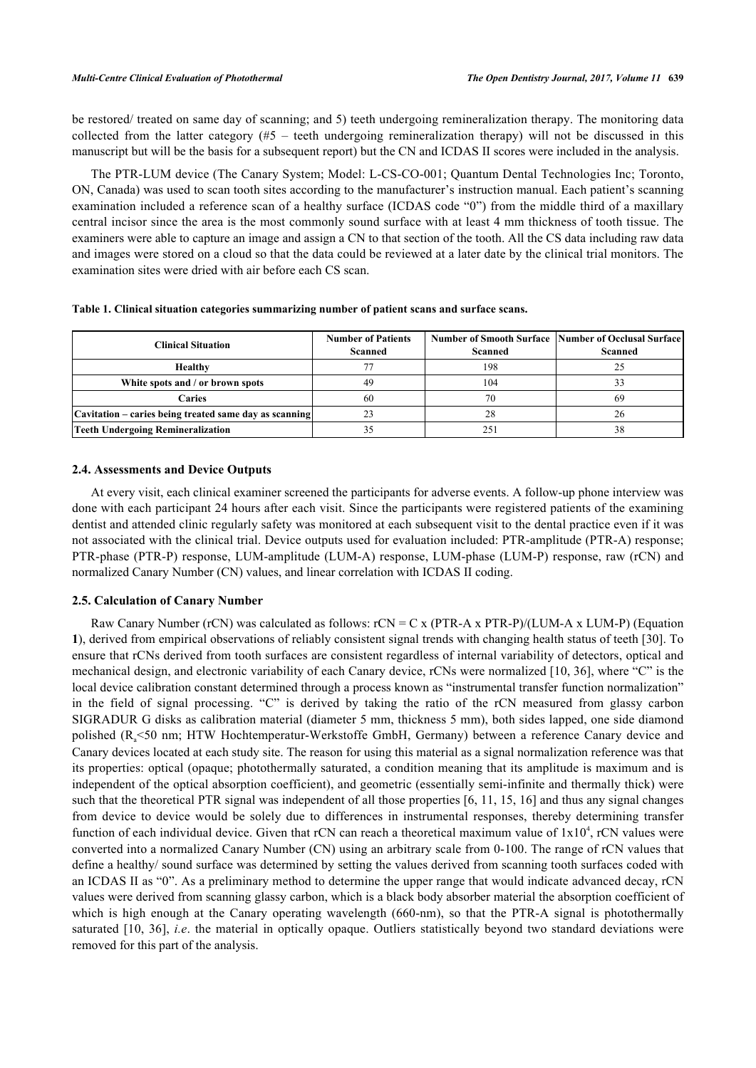be restored/ treated on same day of scanning; and 5) teeth undergoing remineralization therapy. The monitoring data collected from the latter category  $(#5 - \text{teeth undergoing reminiscent}$  remineralization therapy) will not be discussed in this manuscript but will be the basis for a subsequent report) but the CN and ICDAS II scores were included in the analysis.

The PTR-LUM device (The Canary System; Model: L-CS-CO-001; Quantum Dental Technologies Inc; Toronto, ON, Canada) was used to scan tooth sites according to the manufacturer's instruction manual. Each patient's scanning examination included a reference scan of a healthy surface (ICDAS code "0") from the middle third of a maxillary central incisor since the area is the most commonly sound surface with at least 4 mm thickness of tooth tissue. The examiners were able to capture an image and assign a CN to that section of the tooth. All the CS data including raw data and images were stored on a cloud so that the data could be reviewed at a later date by the clinical trial monitors. The examination sites were dried with air before each CS scan.

|  |  |  |  | Table 1. Clinical situation categories summarizing number of patient scans and surface scans. |
|--|--|--|--|-----------------------------------------------------------------------------------------------|
|  |  |  |  |                                                                                               |

| <b>Clinical Situation</b>                              | <b>Number of Patients</b><br>Scanned | Scanned | <b>Number of Smooth Surface Number of Occlusal Surface</b><br><b>Scanned</b> |  |
|--------------------------------------------------------|--------------------------------------|---------|------------------------------------------------------------------------------|--|
| Healthy                                                |                                      | 198     |                                                                              |  |
| White spots and / or brown spots                       | 49                                   | 104     |                                                                              |  |
| Caries                                                 | 60                                   | 70      | 69                                                                           |  |
| Cavitation – caries being treated same day as scanning |                                      | 28      | 26                                                                           |  |
| <b>Teeth Undergoing Remineralization</b>               |                                      |         | 38                                                                           |  |

# **2.4. Assessments and Device Outputs**

At every visit, each clinical examiner screened the participants for adverse events. A follow-up phone interview was done with each participant 24 hours after each visit. Since the participants were registered patients of the examining dentist and attended clinic regularly safety was monitored at each subsequent visit to the dental practice even if it was not associated with the clinical trial. Device outputs used for evaluation included: PTR-amplitude (PTR-A) response; PTR-phase (PTR-P) response, LUM-amplitude (LUM-A) response, LUM-phase (LUM-P) response, raw (rCN) and normalized Canary Number (CN) values, and linear correlation with ICDAS II coding.

#### **2.5. Calculation of Canary Number**

Raw Canary Number (rCN) was calculated as follows: rCN = C x (PTR-A x PTR-P)/(LUM-A x LUM-P) (Equation **1**), derived from empirical observations of reliably consistent signal trends with changing health status of teeth [[30\]](#page-10-13). To ensure that rCNs derived from tooth surfaces are consistent regardless of internal variability of detectors, optical and mechanical design, and electronic variability of each Canary device, rCNs were normalized [[10,](#page-9-4) [36](#page-11-0)], where "C" is the local device calibration constant determined through a process known as "instrumental transfer function normalization" in the field of signal processing. "C" is derived by taking the ratio of the rCN measured from glassy carbon SIGRADUR G disks as calibration material (diameter 5 mm, thickness 5 mm), both sides lapped, one side diamond polished (Ra<50 nm; HTW Hochtemperatur-Werkstoffe GmbH, Germany) between a reference Canary device and Canary devices located at each study site. The reason for using this material as a signal normalization reference was that its properties: optical (opaque; photothermally saturated, a condition meaning that its amplitude is maximum and is independent of the optical absorption coefficient), and geometric (essentially semi-infinite and thermally thick) were such that the theoretical PTR signal was independent of all those properties [[6,](#page-9-9) [11,](#page-9-5) [15](#page-10-1), [16](#page-10-2)] and thus any signal changes from device to device would be solely due to differences in instrumental responses, thereby determining transfer function of each individual device. Given that rCN can reach a theoretical maximum value of  $1x10^4$ , rCN values were converted into a normalized Canary Number (CN) using an arbitrary scale from 0-100. The range of rCN values that define a healthy/ sound surface was determined by setting the values derived from scanning tooth surfaces coded with an ICDAS II as "0". As a preliminary method to determine the upper range that would indicate advanced decay, rCN values were derived from scanning glassy carbon, which is a black body absorber material the absorption coefficient of which is high enough at the Canary operating wavelength (660-nm), so that the PTR-A signal is photothermally saturated [[10](#page-9-4), [36\]](#page-11-0), *i.e*. the material in optically opaque. Outliers statistically beyond two standard deviations were removed for this part of the analysis.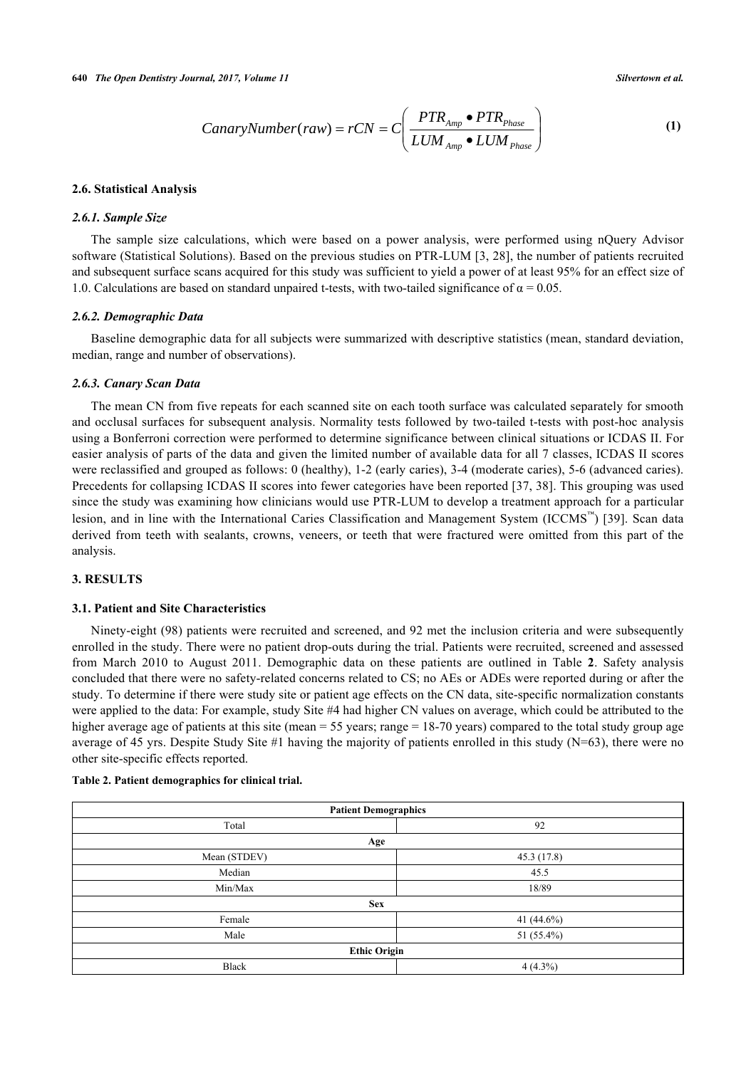$$
CanaryNumber(raw) = rCN = C\left(\frac{PTR_{Amp} \bullet PTR_{Phase}}{LUM_{Amp} \bullet LUM_{Phase}}\right)
$$
\n(1)

### **2.6. Statistical Analysis**

#### *2.6.1. Sample Size*

The sample size calculations, which were based on a power analysis, were performed using nQuery Advisor software (Statistical Solutions). Based on the previous studies on PTR-LUM [[3,](#page-9-1) [28](#page-10-18)], the number of patients recruited and subsequent surface scans acquired for this study was sufficient to yield a power of at least 95% for an effect size of 1.0. Calculations are based on standard unpaired t-tests, with two-tailed significance of  $\alpha = 0.05$ .

#### *2.6.2. Demographic Data*

Baseline demographic data for all subjects were summarized with descriptive statistics (mean, standard deviation, median, range and number of observations).

#### *2.6.3. Canary Scan Data*

The mean CN from five repeats for each scanned site on each tooth surface was calculated separately for smooth and occlusal surfaces for subsequent analysis. Normality tests followed by two-tailed t-tests with post-hoc analysis using a Bonferroni correction were performed to determine significance between clinical situations or ICDAS II. For easier analysis of parts of the data and given the limited number of available data for all 7 classes, ICDAS II scores were reclassified and grouped as follows: 0 (healthy), 1-2 (early caries), 3-4 (moderate caries), 5-6 (advanced caries). Precedents for collapsing ICDAS II scores into fewer categories have been reported [[37,](#page-11-1) [38](#page-11-2)]. This grouping was used since the study was examining how clinicians would use PTR-LUM to develop a treatment approach for a particular lesion, and in line with the International Caries Classification and Management System (ICCMS<sup>™</sup>) [[39\]](#page-11-3). Scan data derived from teeth with sealants, crowns, veneers, or teeth that were fractured were omitted from this part of the analysis.

#### **3. RESULTS**

# **3.1. Patient and Site Characteristics**

Ninety-eight (98) patients were recruited and screened, and 92 met the inclusion criteria and were subsequently enrolled in the study. There were no patient drop-outs during the trial. Patients were recruited, screened and assessed from March 2010 to August 2011. Demographic data on these patients are outlined in Table **2**. Safety analysis concluded that there were no safety-related concerns related to CS; no AEs or ADEs were reported during or after the study. To determine if there were study site or patient age effects on the CN data, site-specific normalization constants were applied to the data: For example, study Site #4 had higher CN values on average, which could be attributed to the higher average age of patients at this site (mean = 55 years; range = 18-70 years) compared to the total study group age average of 45 yrs. Despite Study Site #1 having the majority of patients enrolled in this study  $(N=63)$ , there were no other site-specific effects reported.

# **Table 2. Patient demographics for clinical trial.**

| <b>Patient Demographics</b> |             |  |
|-----------------------------|-------------|--|
| Total                       | 92          |  |
| Age                         |             |  |
| Mean (STDEV)                | 45.3 (17.8) |  |
| Median                      | 45.5        |  |
| Min/Max                     | 18/89       |  |
| <b>Sex</b>                  |             |  |
| Female                      | 41 (44.6%)  |  |
| Male                        | 51 (55.4%)  |  |
| <b>Ethic Origin</b>         |             |  |
| <b>Black</b>                | $4(4.3\%)$  |  |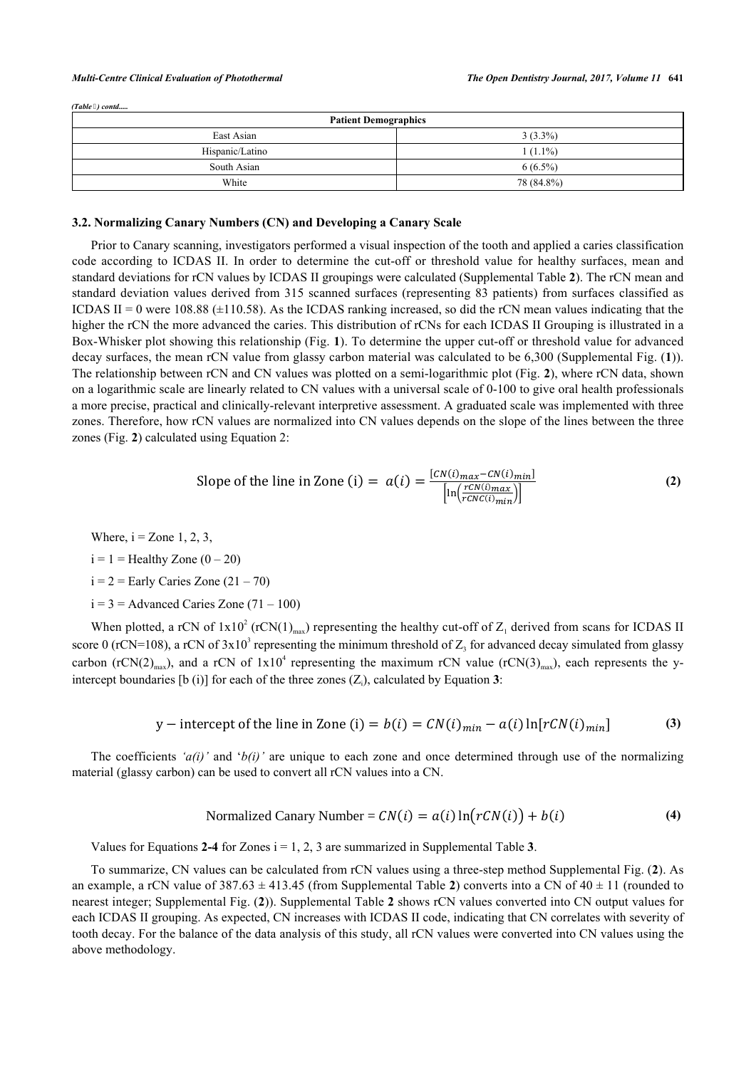#### *Multi-Centre Clinical Evaluation of Photothermal The Open Dentistry Journal, 2017, Volume 11* **641**

*(Table ) contd.....*

| <b>Patient Demographics</b> |            |  |
|-----------------------------|------------|--|
| East Asian                  | $3(3.3\%)$ |  |
| Hispanic/Latino             | $1(1.1\%)$ |  |
| South Asian                 | $6(6.5\%)$ |  |
| White                       | 78 (84.8%) |  |

#### **3.2. Normalizing Canary Numbers (CN) and Developing a Canary Scale**

Prior to Canary scanning, investigators performed a visual inspection of the tooth and applied a caries classification code according to ICDAS II. In order to determine the cut-off or threshold value for healthy surfaces, mean and standard deviations for rCN values by ICDAS II groupings were calculated (Supplemental Table **2**). The rCN mean and standard deviation values derived from 315 scanned surfaces (representing 83 patients) from surfaces classified as ICDAS II = 0 were 108.88  $(\pm 110.58)$ . As the ICDAS ranking increased, so did the rCN mean values indicating that the higher the rCN the more advanced the caries. This distribution of rCNs for each ICDAS II Grouping is illustrated in a Box-Whisker plot showing this relationship (Fig. **[1](#page-6-0)**). To determine the upper cut-off or threshold value for advanced decay surfaces, the mean rCN value from glassy carbon material was calculated to be 6,300 (Supplemental Fig. (**1**)). The relationship between rCN and CN values was plotted on a semi-logarithmic plot (Fig. **[2](#page-6-1)**), where rCN data, shown on a logarithmic scale are linearly related to CN values with a universal scale of 0-100 to give oral health professionals a more precise, practical and clinically-relevant interpretive assessment. A graduated scale was implemented with three zones. Therefore, how rCN values are normalized into CN values depends on the slope of the lines between the three zones (Fig. **[2](#page-6-1)**) calculated using Equation 2:

Slope of the line in Zone (i) = 
$$
a(i) = \frac{[CN(i)_{max} - CN(i)_{min}]}{[\ln(\frac{rCN(i)_{max}}{rCN(i)_{min}})]}
$$
 (2)

Where,  $i =$  Zone 1, 2, 3,

 $i = 1$  = Healthy Zone  $(0 - 20)$ 

 $i = 2$  = Early Caries Zone (21 – 70)

 $i = 3$  = Advanced Caries Zone (71 – 100)

When plotted, a rCN of  $1x10^2$  (rCN(1)<sub>max</sub>) representing the healthy cut-off of Z<sub>1</sub> derived from scans for ICDAS II score 0 (rCN=108), a rCN of  $3x10^3$  representing the minimum threshold of  $Z_3$  for advanced decay simulated from glassy carbon (rCN(2)<sub>max</sub>), and a rCN of  $1x10^4$  representing the maximum rCN value (rCN(3)<sub>max</sub>), each represents the yintercept boundaries [b (i)] for each of the three zones  $(Z_i)$ , calculated by Equation 3:

y – intercept of the line in Zone (i) = 
$$
b(i) = CN(i)_{min} - a(i) \ln[rCN(i)_{min}]
$$
 (3)

The coefficients ' $a(i)$ ' and ' $b(i)$ ' are unique to each zone and once determined through use of the normalizing material (glassy carbon) can be used to convert all rCN values into a CN.

$$
Normalized Canary Number = CN(i) = a(i) ln(rCN(i)) + b(i)
$$
\n(4)

Values for Equations  $2-4$  for Zones  $i = 1, 2, 3$  are summarized in Supplemental Table  $3$ .

To summarize, CN values can be calculated from rCN values using a three-step method Supplemental Fig. (**2**). As an example, a rCN value of  $387.63 \pm 413.45$  (from Supplemental Table 2) converts into a CN of  $40 \pm 11$  (rounded to nearest integer; Supplemental Fig. (**2**)). Supplemental Table **2** shows rCN values converted into CN output values for each ICDAS II grouping. As expected, CN increases with ICDAS II code, indicating that CN correlates with severity of tooth decay. For the balance of the data analysis of this study, all rCN values were converted into CN values using the above methodology.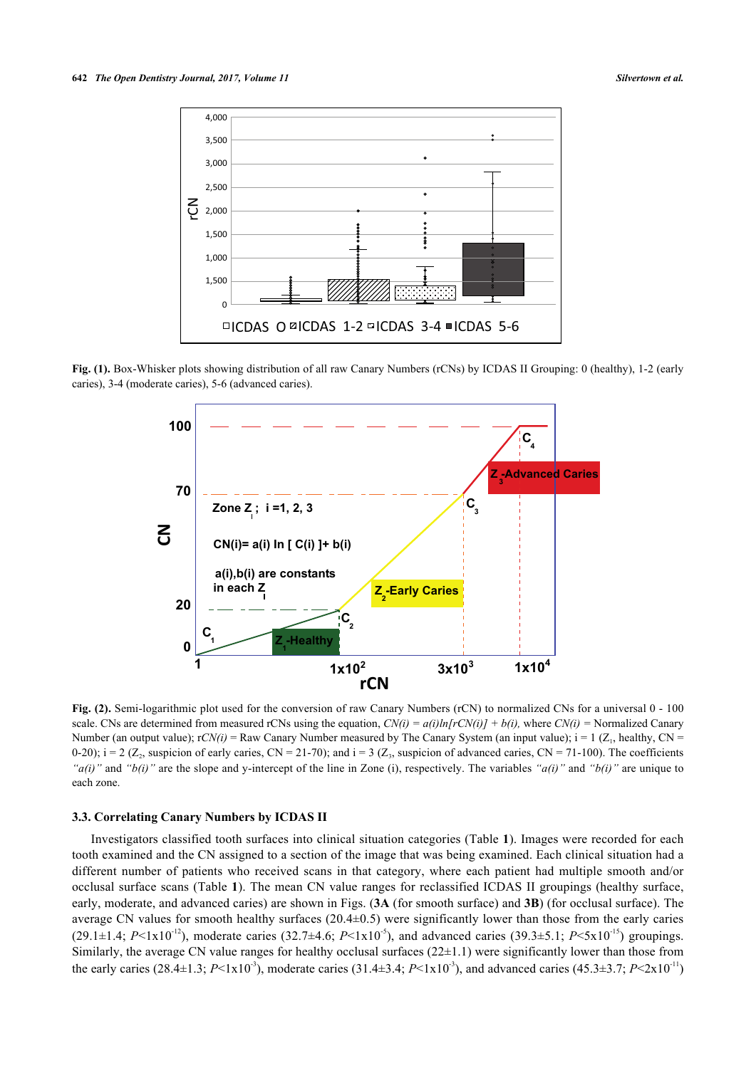<span id="page-6-0"></span>

<span id="page-6-1"></span>**Fig. (1).** Box-Whisker plots showing distribution of all raw Canary Numbers (rCNs) by ICDAS II Grouping: 0 (healthy), 1-2 (early caries), 3-4 (moderate caries), 5-6 (advanced caries).



**Fig. (2).** Semi-logarithmic plot used for the conversion of raw Canary Numbers (rCN) to normalized CNs for a universal 0 - 100 scale. CNs are determined from measured rCNs using the equation,  $CN(i) = a(i)ln[rCN(i)] + b(i)$ , where  $CN(i) =$  Normalized Canary Number (an output value);  $rCN(i)$  = Raw Canary Number measured by The Canary System (an input value);  $i = 1$  ( $Z_1$ , healthy, CN = 0-20);  $i = 2$  ( $Z_2$ , suspicion of early caries,  $CN = 21-70$ ); and  $i = 3$  ( $Z_3$ , suspicion of advanced caries,  $CN = 71-100$ ). The coefficients *"a(i)"* and *"b(i)"* are the slope and y-intercept of the line in Zone (i), respectively. The variables *"a(i)"* and *"b(i)"* are unique to each zone.

# **3.3. Correlating Canary Numbers by ICDAS II**

Investigators classified tooth surfaces into clinical situation categories (Table **1**). Images were recorded for each tooth examined and the CN assigned to a section of the image that was being examined. Each clinical situation had a different number of patients who received scans in that category, where each patient had multiple smooth and/or occlusal surface scans (Table **1**). The mean CN value ranges for reclassified ICDAS II groupings (healthy surface, early, moderate, and advanced caries) are shown in Figs. (**[3A](#page-7-0)** (for smooth surface) and **[3B](#page-7-0)**) (for occlusal surface). The average CN values for smooth healthy surfaces (20.4±0.5) were significantly lower than those from the early caries  $(29.1\pm1.4; P<1x10^{-12})$ , moderate caries  $(32.7\pm4.6; P<1x10^{-5})$ , and advanced caries  $(39.3\pm5.1; P<5x10^{-15})$  groupings. Similarly, the average CN value ranges for healthy occlusal surfaces  $(22\pm 1.1)$  were significantly lower than those from the early caries (28.4±1.3;  $P \le 1 \times 10^{-3}$ ), moderate caries (31.4±3.4;  $P \le 1 \times 10^{-3}$ ), and advanced caries (45.3±3.7;  $P \le 2 \times 10^{-11}$ )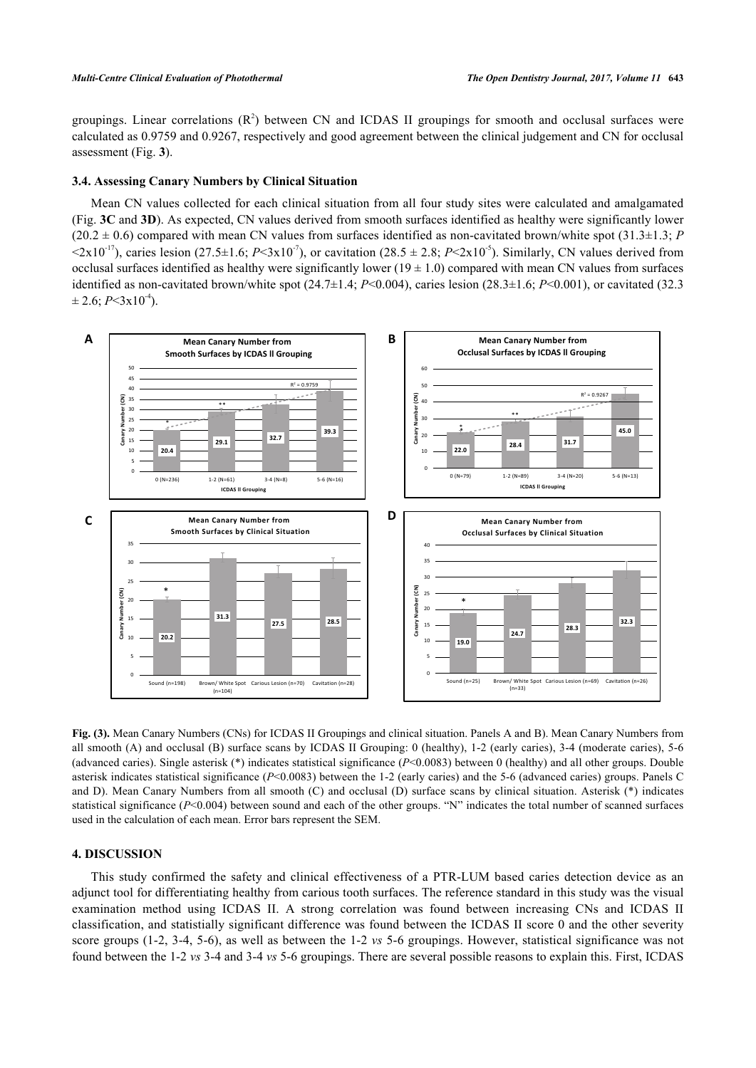groupings. Linear correlations  $(R^2)$  between CN and ICDAS II groupings for smooth and occlusal surfaces were calculated as 0.9759 and 0.9267, respectively and good agreement between the clinical judgement and CN for occlusal assessment (Fig. **[3](#page-7-0)**).

#### **3.4. Assessing Canary Numbers by Clinical Situation**

Mean CN values collected for each clinical situation from all four study sites were calculated and amalgamated (Fig. **[3C](#page-7-0)** and **[3D](#page-7-0)**). As expected, CN values derived from smooth surfaces identified as healthy were significantly lower  $(20.2 \pm 0.6)$  compared with mean CN values from surfaces identified as non-cavitated brown/white spot  $(31.3\pm 1.3; P)$  $\langle 2x10^{-17} \rangle$ , caries lesion (27.5±1.6; *P* $\langle 3x10^{-7} \rangle$ , or cavitation (28.5 ± 2.8; *P* $\langle 2x10^{-5} \rangle$ ). Similarly, CN values derived from occlusal surfaces identified as healthy were significantly lower  $(19 \pm 1.0)$  compared with mean CN values from surfaces identified as non-cavitated brown/white spot  $(24.7\pm1.4; P<0.004)$ , caries lesion  $(28.3\pm1.6; P<0.001)$ , or cavitated (32.3)  $\pm$  2.6; *P*<3x10<sup>-4</sup>).

<span id="page-7-0"></span>

**Fig. (3).** Mean Canary Numbers (CNs) for ICDAS II Groupings and clinical situation. Panels A and B). Mean Canary Numbers from all smooth (A) and occlusal (B) surface scans by ICDAS II Grouping: 0 (healthy), 1-2 (early caries), 3-4 (moderate caries), 5-6 (advanced caries). Single asterisk (\*) indicates statistical significance (*P*<0.0083) between 0 (healthy) and all other groups. Double asterisk indicates statistical significance (*P*<0.0083) between the 1-2 (early caries) and the 5-6 (advanced caries) groups. Panels C and D). Mean Canary Numbers from all smooth (C) and occlusal (D) surface scans by clinical situation. Asterisk (\*) indicates statistical significance ( $P<0.004$ ) between sound and each of the other groups. "N" indicates the total number of scanned surfaces used in the calculation of each mean. Error bars represent the SEM.

# **4. DISCUSSION**

This study confirmed the safety and clinical effectiveness of a PTR-LUM based caries detection device as an adjunct tool for differentiating healthy from carious tooth surfaces. The reference standard in this study was the visual examination method using ICDAS II. A strong correlation was found between increasing CNs and ICDAS II classification, and statistially significant difference was found between the ICDAS II score 0 and the other severity score groups (1-2, 3-4, 5-6), as well as between the 1-2 *vs* 5-6 groupings. However, statistical significance was not found between the 1-2 *vs* 3-4 and 3-4 *vs* 5-6 groupings. There are several possible reasons to explain this. First, ICDAS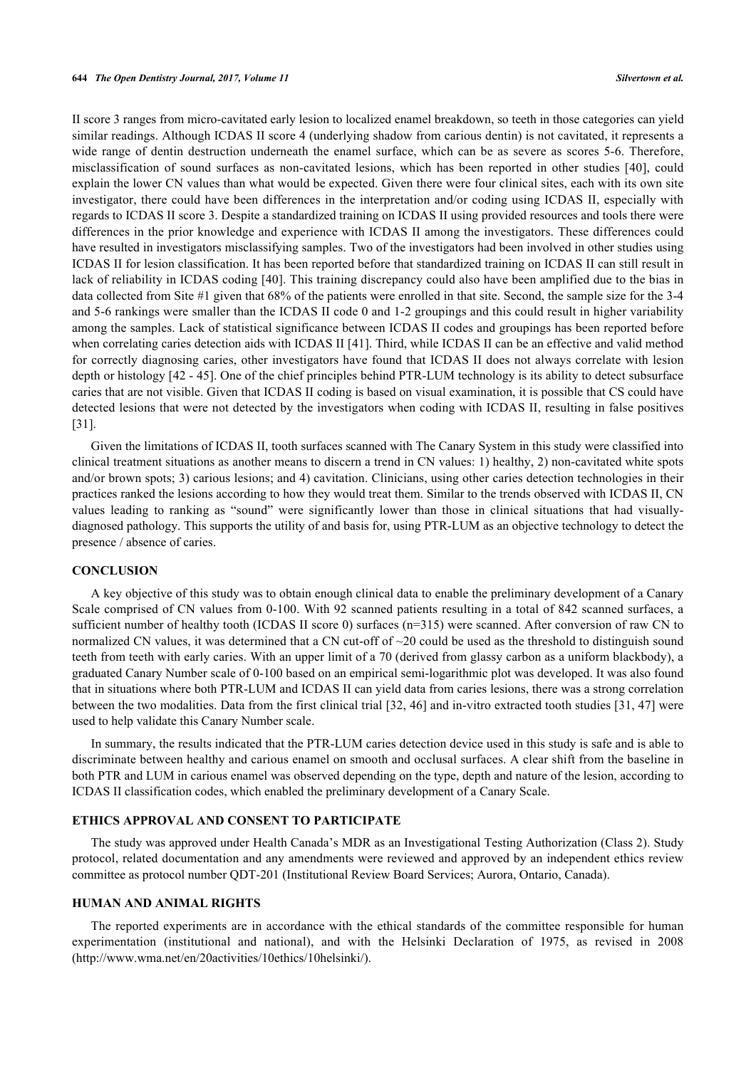II score 3 ranges from micro-cavitated early lesion to localized enamel breakdown, so teeth in those categories can yield similar readings. Although ICDAS II score 4 (underlying shadow from carious dentin) is not cavitated, it represents a wide range of dentin destruction underneath the enamel surface, which can be as severe as scores 5-6. Therefore, misclassification of sound surfaces as non-cavitated lesions, which has been reported in other studies[[40\]](#page-11-4), could explain the lower CN values than what would be expected. Given there were four clinical sites, each with its own site investigator, there could have been differences in the interpretation and/or coding using ICDAS II, especially with regards to ICDAS II score 3. Despite a standardized training on ICDAS II using provided resources and tools there were differences in the prior knowledge and experience with ICDAS II among the investigators. These differences could have resulted in investigators misclassifying samples. Two of the investigators had been involved in other studies using ICDAS II for lesion classification. It has been reported before that standardized training on ICDAS II can still result in lack of reliability in ICDAS coding [\[40](#page-11-4)]. This training discrepancy could also have been amplified due to the bias in data collected from Site #1 given that 68% of the patients were enrolled in that site. Second, the sample size for the 3-4 and 5-6 rankings were smaller than the ICDAS II code 0 and 1-2 groupings and this could result in higher variability among the samples. Lack of statistical significance between ICDAS II codes and groupings has been reported before when correlating caries detection aids with ICDAS II [\[41](#page-11-5)]. Third, while ICDAS II can be an effective and valid method for correctly diagnosing caries, other investigators have found that ICDAS II does not always correlate with lesion depth or histology [\[42](#page-11-6) - [45](#page-11-7)]. One of the chief principles behind PTR-LUM technology is its ability to detect subsurface caries that are not visible. Given that ICDAS II coding is based on visual examination, it is possible that CS could have detected lesions that were not detected by the investigators when coding with ICDAS II, resulting in false positives [\[31](#page-10-14)].

Given the limitations of ICDAS II, tooth surfaces scanned with The Canary System in this study were classified into clinical treatment situations as another means to discern a trend in CN values: 1) healthy, 2) non-cavitated white spots and/or brown spots; 3) carious lesions; and 4) cavitation. Clinicians, using other caries detection technologies in their practices ranked the lesions according to how they would treat them. Similar to the trends observed with ICDAS II, CN values leading to ranking as "sound" were significantly lower than those in clinical situations that had visuallydiagnosed pathology. This supports the utility of and basis for, using PTR-LUM as an objective technology to detect the presence / absence of caries.

# **CONCLUSION**

A key objective of this study was to obtain enough clinical data to enable the preliminary development of a Canary Scale comprised of CN values from 0-100. With 92 scanned patients resulting in a total of 842 scanned surfaces, a sufficient number of healthy tooth (ICDAS II score 0) surfaces (n=315) were scanned. After conversion of raw CN to normalized CN values, it was determined that a CN cut-off of ~20 could be used as the threshold to distinguish sound teeth from teeth with early caries. With an upper limit of a 70 (derived from glassy carbon as a uniform blackbody), a graduated Canary Number scale of 0-100 based on an empirical semi-logarithmic plot was developed. It was also found that in situations where both PTR-LUM and ICDAS II can yield data from caries lesions, there was a strong correlation between the two modalities. Data from the first clinical trial [\[32](#page-10-19), [46\]](#page-11-8) and in-vitro extracted tooth studies [\[31](#page-10-14), [47\]](#page-11-9) were used to help validate this Canary Number scale.

In summary, the results indicated that the PTR-LUM caries detection device used in this study is safe and is able to discriminate between healthy and carious enamel on smooth and occlusal surfaces. A clear shift from the baseline in both PTR and LUM in carious enamel was observed depending on the type, depth and nature of the lesion, according to ICDAS II classification codes, which enabled the preliminary development of a Canary Scale.

# **ETHICS APPROVAL AND CONSENT TO PARTICIPATE**

The study was approved under Health Canada's MDR as an Investigational Testing Authorization (Class 2). Study protocol, related documentation and any amendments were reviewed and approved by an independent ethics review committee as protocol number QDT-201 (Institutional Review Board Services; Aurora, Ontario, Canada).

#### **HUMAN AND ANIMAL RIGHTS**

The reported experiments are in accordance with the ethical standards of the committee responsible for human experimentation (institutional and national), and with the Helsinki Declaration of 1975, as revised in 2008 [\(http://www.wma.net/en/20activities/10ethics/10helsinki/\)](http://www.wma.net/en/20activities/10ethics/10helsinki/).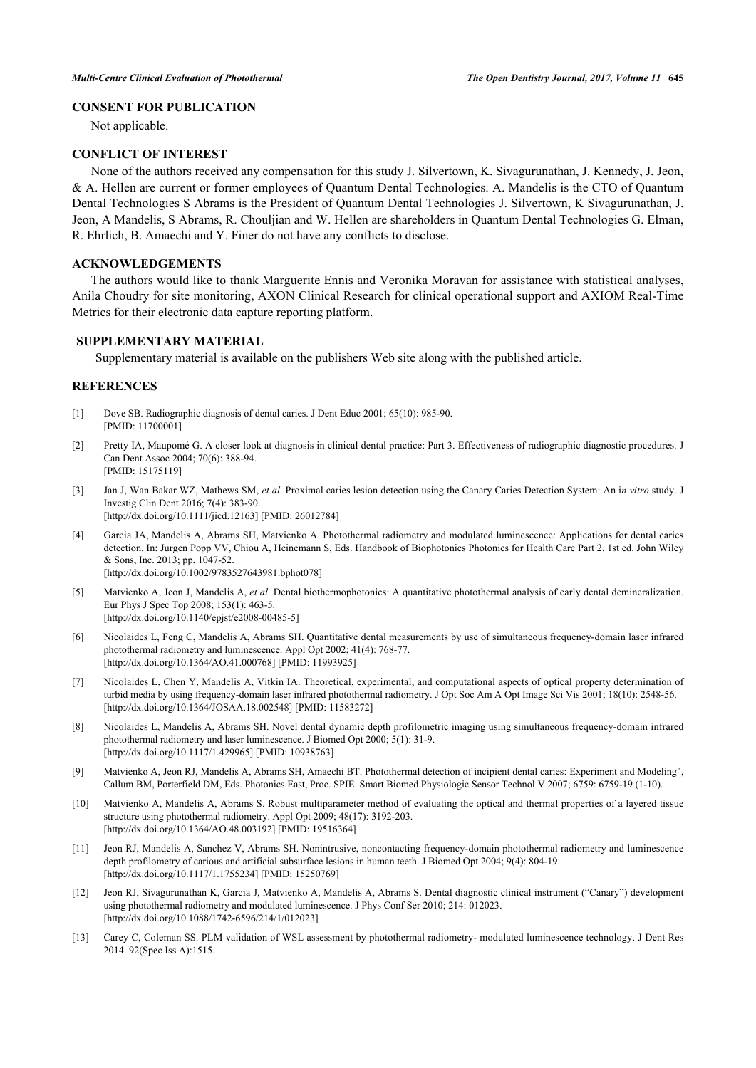# **CONSENT FOR PUBLICATION**

Not applicable.

# **CONFLICT OF INTEREST**

None of the authors received any compensation for this study J. Silvertown, K. Sivagurunathan, J. Kennedy, J. Jeon, & A. Hellen are current or former employees of Quantum Dental Technologies. A. Mandelis is the CTO of Quantum Dental Technologies S Abrams is the President of Quantum Dental Technologies J. Silvertown, K Sivagurunathan, J. Jeon, A Mandelis, S Abrams, R. Chouljian and W. Hellen are shareholders in Quantum Dental Technologies G. Elman, R. Ehrlich, B. Amaechi and Y. Finer do not have any conflicts to disclose.

#### **ACKNOWLEDGEMENTS**

The authors would like to thank Marguerite Ennis and Veronika Moravan for assistance with statistical analyses, Anila Choudry for site monitoring, AXON Clinical Research for clinical operational support and AXIOM Real-Time Metrics for their electronic data capture reporting platform.

# **SUPPLEMENTARY MATERIAL**

Supplementary material is available on the publishers Web site along with the published article.

# **REFERENCES**

- <span id="page-9-0"></span>[1] Dove SB. Radiographic diagnosis of dental caries. J Dent Educ 2001; 65(10): 985-90. [PMID: [11700001\]](http://www.ncbi.nlm.nih.gov/pubmed/11700001)
- [2] Pretty IA, Maupomé G. A closer look at diagnosis in clinical dental practice: Part 3. Effectiveness of radiographic diagnostic procedures. J Can Dent Assoc 2004; 70(6): 388-94. [PMID: [15175119\]](http://www.ncbi.nlm.nih.gov/pubmed/15175119)
- <span id="page-9-1"></span>[3] Jan J, Wan Bakar WZ, Mathews SM, *et al.* Proximal caries lesion detection using the Canary Caries Detection System: An i*n vitro* study. J Investig Clin Dent 2016; 7(4): 383-90. [\[http://dx.doi.org/10.1111/jicd.12163\]](http://dx.doi.org/10.1111/jicd.12163) [PMID: [26012784](http://www.ncbi.nlm.nih.gov/pubmed/26012784)]
- <span id="page-9-2"></span>[4] Garcia JA, Mandelis A, Abrams SH, Matvienko A. Photothermal radiometry and modulated luminescence: Applications for dental caries detection. In: Jurgen Popp VV, Chiou A, Heinemann S, Eds. Handbook of Biophotonics Photonics for Health Care Part 2. 1st ed. John Wiley & Sons, Inc. 2013; pp. 1047-52. [\[http://dx.doi.org/10.1002/9783527643981.bphot078](http://dx.doi.org/10.1002/9783527643981.bphot078)]
- <span id="page-9-3"></span>[5] Matvienko A, Jeon J, Mandelis A, *et al.* Dental biothermophotonics: A quantitative photothermal analysis of early dental demineralization. Eur Phys J Spec Top 2008; 153(1): 463-5. [\[http://dx.doi.org/10.1140/epjst/e2008-00485-5](http://dx.doi.org/10.1140/epjst/e2008-00485-5)]
- <span id="page-9-9"></span>[6] Nicolaides L, Feng C, Mandelis A, Abrams SH. Quantitative dental measurements by use of simultaneous frequency-domain laser infrared photothermal radiometry and luminescence. Appl Opt 2002; 41(4): 768-77. [\[http://dx.doi.org/10.1364/AO.41.000768](http://dx.doi.org/10.1364/AO.41.000768)] [PMID: [11993925\]](http://www.ncbi.nlm.nih.gov/pubmed/11993925)
- [7] Nicolaides L, Chen Y, Mandelis A, Vitkin IA. Theoretical, experimental, and computational aspects of optical property determination of turbid media by using frequency-domain laser infrared photothermal radiometry. J Opt Soc Am A Opt Image Sci Vis 2001; 18(10): 2548-56. [\[http://dx.doi.org/10.1364/JOSAA.18.002548\]](http://dx.doi.org/10.1364/JOSAA.18.002548) [PMID: [11583272](http://www.ncbi.nlm.nih.gov/pubmed/11583272)]
- [8] Nicolaides L, Mandelis A, Abrams SH. Novel dental dynamic depth profilometric imaging using simultaneous frequency-domain infrared photothermal radiometry and laser luminescence. J Biomed Opt 2000; 5(1): 31-9. [\[http://dx.doi.org/10.1117/1.429965\]](http://dx.doi.org/10.1117/1.429965) [PMID: [10938763](http://www.ncbi.nlm.nih.gov/pubmed/10938763)]
- <span id="page-9-8"></span>[9] Matvienko A, Jeon RJ, Mandelis A, Abrams SH, Amaechi BT. Photothermal detection of incipient dental caries: Experiment and Modeling", Callum BM, Porterfield DM, Eds. Photonics East, Proc. SPIE. Smart Biomed Physiologic Sensor Technol V 2007; 6759: 6759-19 (1-10).
- <span id="page-9-4"></span>[10] Matvienko A, Mandelis A, Abrams S. Robust multiparameter method of evaluating the optical and thermal properties of a layered tissue structure using photothermal radiometry. Appl Opt 2009; 48(17): 3192-203. [\[http://dx.doi.org/10.1364/AO.48.003192](http://dx.doi.org/10.1364/AO.48.003192)] [PMID: [19516364\]](http://www.ncbi.nlm.nih.gov/pubmed/19516364)
- <span id="page-9-5"></span>[11] Jeon RJ, Mandelis A, Sanchez V, Abrams SH. Nonintrusive, noncontacting frequency-domain photothermal radiometry and luminescence depth profilometry of carious and artificial subsurface lesions in human teeth. J Biomed Opt 2004; 9(4): 804-19. [\[http://dx.doi.org/10.1117/1.1755234\]](http://dx.doi.org/10.1117/1.1755234) [PMID: [15250769](http://www.ncbi.nlm.nih.gov/pubmed/15250769)]
- <span id="page-9-6"></span>[12] Jeon RJ, Sivagurunathan K, Garcia J, Matvienko A, Mandelis A, Abrams S. Dental diagnostic clinical instrument ("Canary") development using photothermal radiometry and modulated luminescence. J Phys Conf Ser 2010; 214: 012023. [\[http://dx.doi.org/10.1088/1742-6596/214/1/012023](http://dx.doi.org/10.1088/1742-6596/214/1/012023)]
- <span id="page-9-7"></span>[13] Carey C, Coleman SS. PLM validation of WSL assessment by photothermal radiometry- modulated luminescence technology. J Dent Res 2014. 92(Spec Iss A):1515.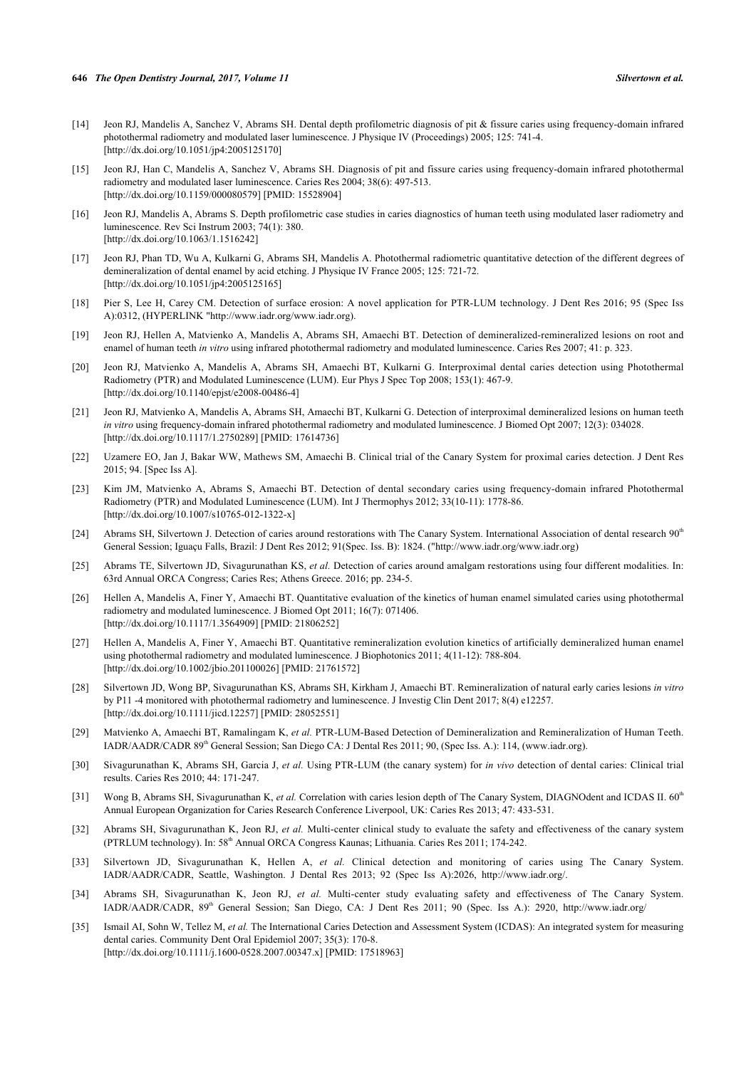- <span id="page-10-0"></span>[14] Jeon RJ, Mandelis A, Sanchez V, Abrams SH. Dental depth profilometric diagnosis of pit & fissure caries using frequency-domain infrared photothermal radiometry and modulated laser luminescence. J Physique IV (Proceedings) 2005; 125: 741-4. [\[http://dx.doi.org/10.1051/jp4:2005125170](http://dx.doi.org/10.1051/jp4:2005125170)]
- <span id="page-10-1"></span>[15] Jeon RJ, Han C, Mandelis A, Sanchez V, Abrams SH. Diagnosis of pit and fissure caries using frequency-domain infrared photothermal radiometry and modulated laser luminescence. Caries Res 2004; 38(6): 497-513. [\[http://dx.doi.org/10.1159/000080579\]](http://dx.doi.org/10.1159/000080579) [PMID: [15528904](http://www.ncbi.nlm.nih.gov/pubmed/15528904)]
- <span id="page-10-2"></span>[16] Jeon RJ, Mandelis A, Abrams S. Depth profilometric case studies in caries diagnostics of human teeth using modulated laser radiometry and luminescence. Rev Sci Instrum 2003; 74(1): 380. [\[http://dx.doi.org/10.1063/1.1516242\]](http://dx.doi.org/10.1063/1.1516242)
- <span id="page-10-3"></span>[17] Jeon RJ, Phan TD, Wu A, Kulkarni G, Abrams SH, Mandelis A. Photothermal radiometric quantitative detection of the different degrees of demineralization of dental enamel by acid etching. J Physique IV France 2005; 125: 721-72. [\[http://dx.doi.org/10.1051/jp4:2005125165](http://dx.doi.org/10.1051/jp4:2005125165)]
- <span id="page-10-4"></span>[18] Pier S, Lee H, Carey CM. Detection of surface erosion: A novel application for PTR-LUM technology. J Dent Res 2016; 95 (Spec Iss A):0312, (HYPERLINK "<http://www.iadr.org/>[www.iadr.org\)](http://192.168.111.2/oa/www.iadr.org).
- <span id="page-10-5"></span>[19] Jeon RJ, Hellen A, Matvienko A, Mandelis A, Abrams SH, Amaechi BT. Detection of demineralized-remineralized lesions on root and enamel of human teeth *in vitro* using infrared photothermal radiometry and modulated luminescence. Caries Res 2007; 41: p. 323.
- <span id="page-10-6"></span>[20] Jeon RJ, Matvienko A, Mandelis A, Abrams SH, Amaechi BT, Kulkarni G. Interproximal dental caries detection using Photothermal Radiometry (PTR) and Modulated Luminescence (LUM). Eur Phys J Spec Top 2008; 153(1): 467-9. [\[http://dx.doi.org/10.1140/epjst/e2008-00486-4](http://dx.doi.org/10.1140/epjst/e2008-00486-4)]
- [21] Jeon RJ, Matvienko A, Mandelis A, Abrams SH, Amaechi BT, Kulkarni G. Detection of interproximal demineralized lesions on human teeth *in vitro* using frequency-domain infrared photothermal radiometry and modulated luminescence. J Biomed Opt 2007; 12(3): 034028. [\[http://dx.doi.org/10.1117/1.2750289\]](http://dx.doi.org/10.1117/1.2750289) [PMID: [17614736](http://www.ncbi.nlm.nih.gov/pubmed/17614736)]
- <span id="page-10-7"></span>[22] Uzamere EO, Jan J, Bakar WW, Mathews SM, Amaechi B. Clinical trial of the Canary System for proximal caries detection. J Dent Res 2015; 94. [Spec Iss A].
- <span id="page-10-8"></span>[23] Kim JM, Matvienko A, Abrams S, Amaechi BT. Detection of dental secondary caries using frequency-domain infrared Photothermal Radiometry (PTR) and Modulated Luminescence (LUM). Int J Thermophys 2012; 33(10-11): 1778-86. [\[http://dx.doi.org/10.1007/s10765-012-1322-x\]](http://dx.doi.org/10.1007/s10765-012-1322-x)
- <span id="page-10-9"></span>[24] Abrams SH, Silvertown J. Detection of caries around restorations with The Canary System. International Association of dental research 90<sup>th</sup> General Session; Iguaçu Falls, Brazil: J Dent Res 2012; 91(Spec. Iss. B): 1824. ("<http://www.iadr.org/>[www.iadr.org](http://192.168.111.2/oa/www.iadr.org))
- <span id="page-10-10"></span>[25] Abrams TE, Silvertown JD, Sivagurunathan KS, *et al.* Detection of caries around amalgam restorations using four different modalities. In: 63rd Annual ORCA Congress; Caries Res; Athens Greece. 2016; pp. 234-5.
- <span id="page-10-11"></span>[26] Hellen A, Mandelis A, Finer Y, Amaechi BT. Quantitative evaluation of the kinetics of human enamel simulated caries using photothermal radiometry and modulated luminescence. J Biomed Opt 2011; 16(7): 071406. [\[http://dx.doi.org/10.1117/1.3564909\]](http://dx.doi.org/10.1117/1.3564909) [PMID: [21806252](http://www.ncbi.nlm.nih.gov/pubmed/21806252)]
- [27] Hellen A, Mandelis A, Finer Y, Amaechi BT. Quantitative remineralization evolution kinetics of artificially demineralized human enamel using photothermal radiometry and modulated luminescence. J Biophotonics 2011; 4(11-12): 788-804. [\[http://dx.doi.org/10.1002/jbio.201100026](http://dx.doi.org/10.1002/jbio.201100026)] [PMID: [21761572\]](http://www.ncbi.nlm.nih.gov/pubmed/21761572)
- <span id="page-10-18"></span>[28] Silvertown JD, Wong BP, Sivagurunathan KS, Abrams SH, Kirkham J, Amaechi BT. Remineralization of natural early caries lesions *in vitro* by P11 -4 monitored with photothermal radiometry and luminescence. J Investig Clin Dent 2017; 8(4) e12257. [\[http://dx.doi.org/10.1111/jicd.12257\]](http://dx.doi.org/10.1111/jicd.12257) [PMID: [28052551](http://www.ncbi.nlm.nih.gov/pubmed/28052551)]
- <span id="page-10-12"></span>[29] Matvienko A, Amaechi BT, Ramalingam K, *et al.* PTR-LUM-Based Detection of Demineralization and Remineralization of Human Teeth. IADR/AADR/CADR 89<sup>th</sup> General Session; San Diego CA: J Dental Res 2011; 90, (Spec Iss. A.): 114, (www.iadr.org).
- <span id="page-10-13"></span>[30] Sivagurunathan K, Abrams SH, Garcia J, *et al.* Using PTR-LUM (the canary system) for *in vivo* detection of dental caries: Clinical trial results. Caries Res 2010; 44: 171-247.
- <span id="page-10-14"></span>[31] Wong B, Abrams SH, Sivagurunathan K, *et al.* Correlation with caries lesion depth of The Canary System, DIAGNOdent and ICDAS II. 60<sup>th</sup> Annual European Organization for Caries Research Conference Liverpool, UK: Caries Res 2013; 47: 433-531.
- <span id="page-10-19"></span>[32] Abrams SH, Sivagurunathan K, Jeon RJ, *et al.* Multi-center clinical study to evaluate the safety and effectiveness of the canary system (PTRLUM technology). In: 58<sup>th</sup> Annual ORCA Congress Kaunas; Lithuania. Caries Res 2011; 174-242.
- <span id="page-10-15"></span>[33] Silvertown JD, Sivagurunathan K, Hellen A, *et al.* Clinical detection and monitoring of caries using The Canary System. IADR/AADR/CADR, Seattle, Washington. J Dental Res 2013; 92 (Spec Iss A):2026,<http://www.iadr.org/>.
- <span id="page-10-16"></span>[34] Abrams SH, Sivagurunathan K, Jeon RJ, *et al.* Multi-center study evaluating safety and effectiveness of The Canary System. IADR/AADR/CADR, 89th General Session; San Diego, CA: J Dent Res 2011; 90 (Spec. Iss A.): 2920,<http://www.iadr.org/>
- <span id="page-10-17"></span>[35] Ismail AI, Sohn W, Tellez M, *et al.* The International Caries Detection and Assessment System (ICDAS): An integrated system for measuring dental caries. Community Dent Oral Epidemiol 2007; 35(3): 170-8. [\[http://dx.doi.org/10.1111/j.1600-0528.2007.00347.x\]](http://dx.doi.org/10.1111/j.1600-0528.2007.00347.x) [PMID: [17518963](http://www.ncbi.nlm.nih.gov/pubmed/17518963)]